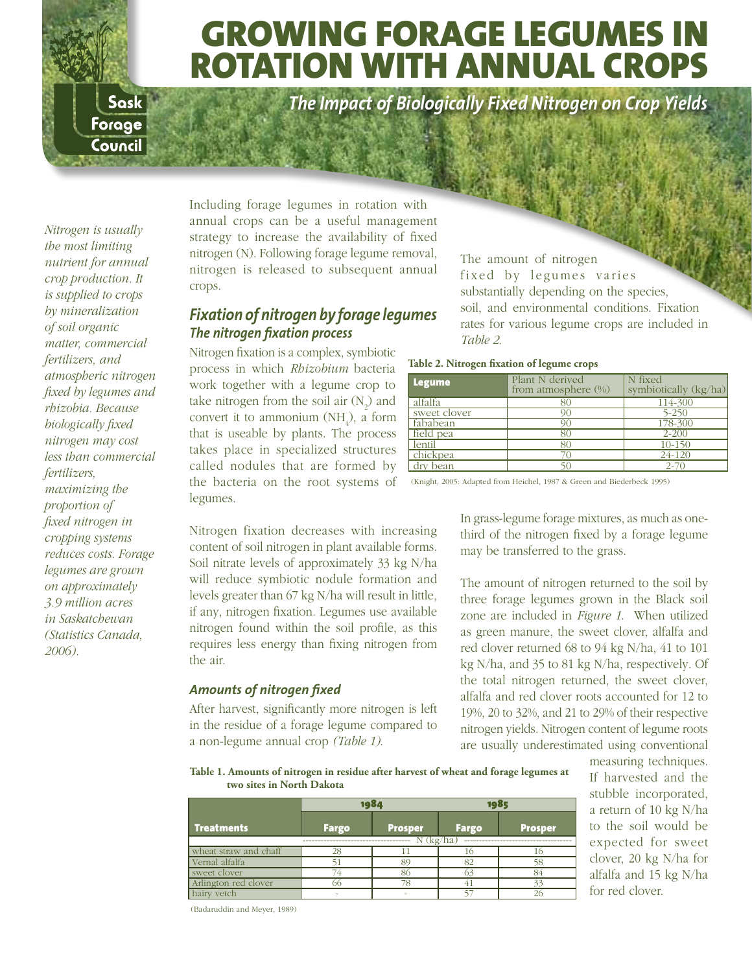# Growing Forage Legumes in rotation with annual crops

*The Impact of Biologically Fixed Nitrogen on Crop Yields*

*Nitrogen is usually the most limiting nutrient for annual crop production. It is supplied to crops by mineralization of soil organic matter, commercial fertilizers, and atmospheric nitrogen fixed by legumes and rhizobia. Because biologically fixed nitrogen may cost less than commercial fertilizers, maximizing the proportion of fixed nitrogen in cropping systems reduces costs. Forage legumes are grown on approximately 3.9 million acres in Saskatchewan (Statistics Canada, 2006).* 

Sask Forage Council

> Including forage legumes in rotation with annual crops can be a useful management strategy to increase the availability of fixed nitrogen (N). Following forage legume removal, nitrogen is released to subsequent annual crops.

### *Fixation of nitrogen by forage legumes The nitrogen fixation process*

Nitrogen fixation is a complex, symbiotic process in which *Rhizobium* bacteria work together with a legume crop to take nitrogen from the soil air  $(N_2)$  and convert it to ammonium  $(NH_4)$ , a form that is useable by plants. The process takes place in specialized structures called nodules that are formed by the bacteria on the root systems of legumes.

Nitrogen fixation decreases with increasing content of soil nitrogen in plant available forms. Soil nitrate levels of approximately 33 kg N/ha will reduce symbiotic nodule formation and levels greater than 67 kg N/ha will result in little, if any, nitrogen fixation. Legumes use available nitrogen found within the soil profile, as this requires less energy than fixing nitrogen from the air.

#### *Amounts of nitrogen fixed*

After harvest, significantly more nitrogen is left in the residue of a forage legume compared to a non-legume annual crop *(Table 1)*.

The amount of nitrogen fixed by legumes varies substantially depending on the species, soil, and environmental conditions. Fixation rates for various legume crops are included in *Table 2*.

**Table 2. Nitrogen fixation of legume crops**

| <b>Legume</b> | Plant N derived<br>from atmosphere $(\%)$ | N fixed<br>symbiotically (kg/ha) |
|---------------|-------------------------------------------|----------------------------------|
| alfalfa       | 80                                        | 114-300                          |
| sweet clover  | 90                                        | $5 - 250$                        |
| fababean      | 90                                        | 178-300                          |
| field pea     | 80                                        | $2 - 200$                        |
| lentil        | 80                                        | 10-150                           |
| chickpea      |                                           | 24-120                           |
| dry bean      |                                           | $2 - 70$                         |

(Knight, 2005: Adapted from Heichel, 1987 & Green and Biederbeck 1995)

In grass-legume forage mixtures, as much as onethird of the nitrogen fixed by a forage legume may be transferred to the grass.

The amount of nitrogen returned to the soil by three forage legumes grown in the Black soil zone are included in *Figure 1*. When utilized as green manure, the sweet clover, alfalfa and red clover returned 68 to 94 kg N/ha, 41 to 101 kg N/ha, and 35 to 81 kg N/ha, respectively. Of the total nitrogen returned, the sweet clover, alfalfa and red clover roots accounted for 12 to 19%, 20 to 32%, and 21 to 29% of their respective nitrogen yields. Nitrogen content of legume roots are usually underestimated using conventional

**Table 1. Amounts of nitrogen in residue after harvest of wheat and forage legumes at two sites in North Dakota**

|                       | 1984         |                | 1985         |                |  |
|-----------------------|--------------|----------------|--------------|----------------|--|
| <b>Treatments</b>     | <b>Fargo</b> | <b>Prosper</b> | <b>Fargo</b> | <b>Prosper</b> |  |
|                       | $N$ (kg/ha)  |                |              |                |  |
| wheat straw and chaff | 28           |                |              |                |  |
| Vernal alfalfa        |              |                | o٦           |                |  |
| sweet clover          |              |                |              |                |  |
| Arlington red clover  |              | 78             |              | 32             |  |
| hairy vetch           |              |                |              |                |  |

measuring techniques. If harvested and the stubble incorporated, a return of 10 kg N/ha to the soil would be expected for sweet clover, 20 kg N/ha for alfalfa and 15 kg N/ha for red clover.

(Badaruddin and Meyer, 1989)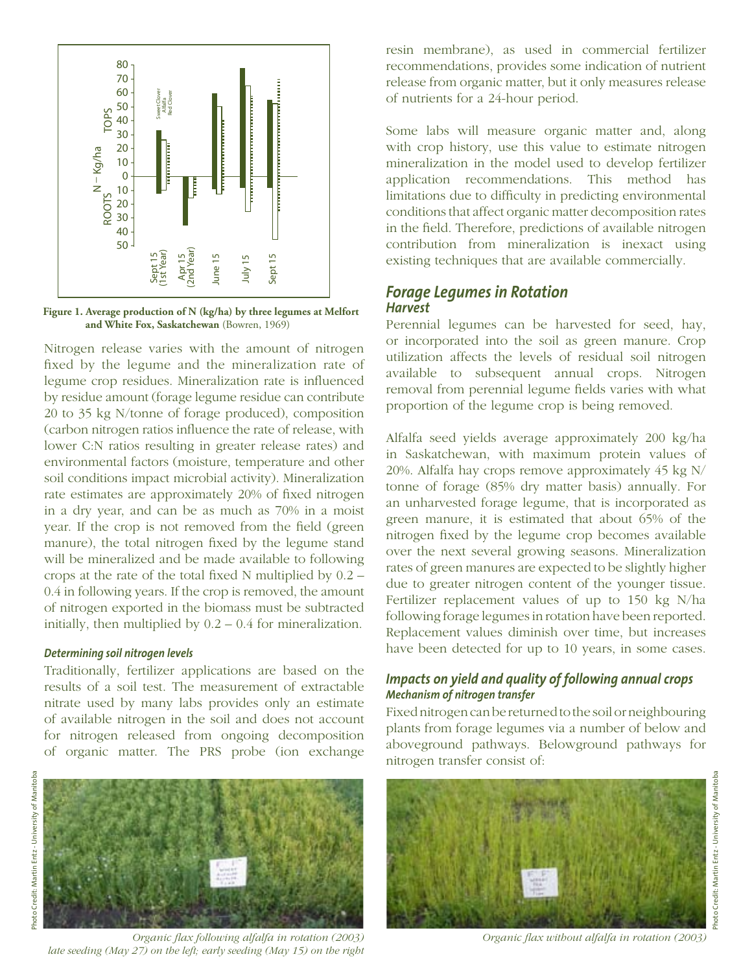

**Figure 1. Average production of N (kg/ha) by three legumes at Melfort and White Fox, Saskatchewan** (Bowren, 1969)

Nitrogen release varies with the amount of nitrogen fixed by the legume and the mineralization rate of legume crop residues. Mineralization rate is influenced by residue amount (forage legume residue can contribute 20 to 35 kg N/tonne of forage produced), composition (carbon nitrogen ratios influence the rate of release, with lower C:N ratios resulting in greater release rates) and environmental factors (moisture, temperature and other soil conditions impact microbial activity). Mineralization rate estimates are approximately 20% of fixed nitrogen in a dry year, and can be as much as 70% in a moist year. If the crop is not removed from the field (green manure), the total nitrogen fixed by the legume stand will be mineralized and be made available to following crops at the rate of the total fixed N multiplied by 0.2 – 0.4 in following years. If the crop is removed, the amount of nitrogen exported in the biomass must be subtracted initially, then multiplied by 0.2 – 0.4 for mineralization.

#### *Determining soil nitrogen levels*

Traditionally, fertilizer applications are based on the results of a soil test. The measurement of extractable nitrate used by many labs provides only an estimate of available nitrogen in the soil and does not account for nitrogen released from ongoing decomposition of organic matter. The PRS probe (ion exchange



*Organic flax following alfalfa in rotation (2003) Organic flax without alfalfa in rotation (2003) late seeding (May 27) on the left; early seeding (May 15) on the right*

resin membrane), as used in commercial fertilizer recommendations, provides some indication of nutrient release from organic matter, but it only measures release of nutrients for a 24-hour period.

Some labs will measure organic matter and, along with crop history, use this value to estimate nitrogen mineralization in the model used to develop fertilizer application recommendations. This method has limitations due to difficulty in predicting environmental conditions that affect organic matter decomposition rates in the field. Therefore, predictions of available nitrogen contribution from mineralization is inexact using existing techniques that are available commercially.

#### *Forage Legumes in Rotation Harvest*

Perennial legumes can be harvested for seed, hay, or incorporated into the soil as green manure. Crop utilization affects the levels of residual soil nitrogen available to subsequent annual crops. Nitrogen removal from perennial legume fields varies with what proportion of the legume crop is being removed.

Alfalfa seed yields average approximately 200 kg/ha in Saskatchewan, with maximum protein values of 20%. Alfalfa hay crops remove approximately 45 kg N/ tonne of forage (85% dry matter basis) annually. For an unharvested forage legume, that is incorporated as green manure, it is estimated that about 65% of the nitrogen fixed by the legume crop becomes available over the next several growing seasons. Mineralization rates of green manures are expected to be slightly higher due to greater nitrogen content of the younger tissue. Fertilizer replacement values of up to 150 kg N/ha following forage legumes in rotation have been reported. Replacement values diminish over time, but increases have been detected for up to 10 years, in some cases.

#### *Impacts on yield and quality of following annual crops Mechanism of nitrogen transfer*

Fixed nitrogen can be returned to the soil or neighbouring plants from forage legumes via a number of below and aboveground pathways. Belowground pathways for nitrogen transfer consist of:



hoto Credit: Martin Entz - University of Manitoba Photo Credit: Martin Entz - University of Manitoba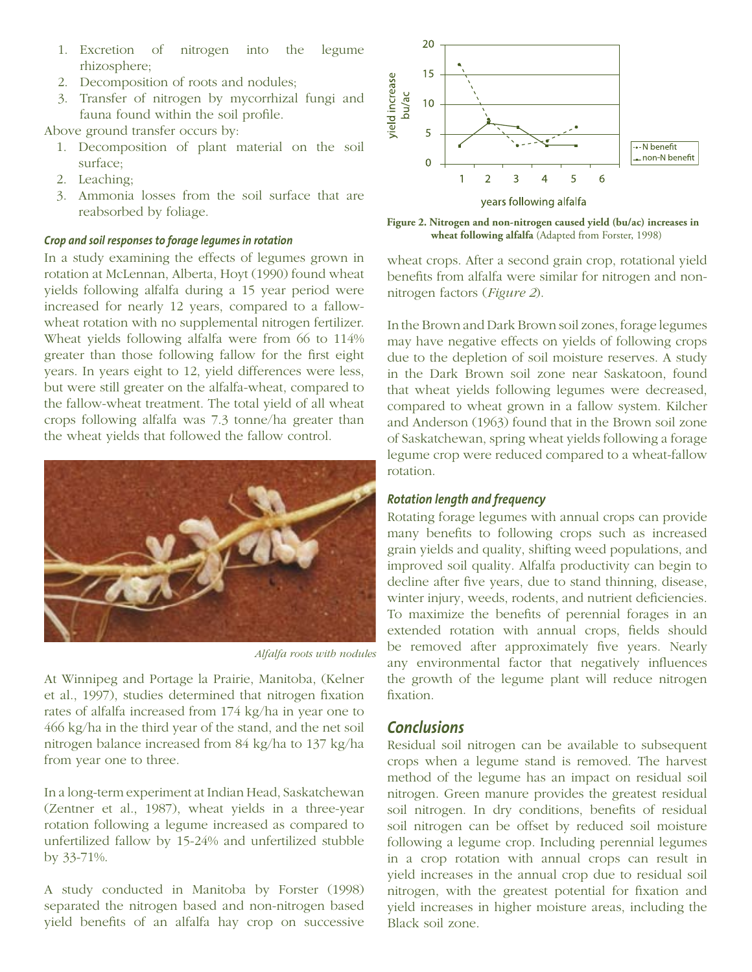- 1. Excretion of nitrogen into the legume rhizosphere;
- 2. Decomposition of roots and nodules;
- 3. Transfer of nitrogen by mycorrhizal fungi and fauna found within the soil profile.

Above ground transfer occurs by:

- 1. Decomposition of plant material on the soil surface;
- 2. Leaching;
- 3. Ammonia losses from the soil surface that are reabsorbed by foliage.

#### *Crop and soil responses to forage legumes in rotation*

In a study examining the effects of legumes grown in rotation at McLennan, Alberta, Hoyt (1990) found wheat yields following alfalfa during a 15 year period were increased for nearly 12 years, compared to a fallowwheat rotation with no supplemental nitrogen fertilizer. Wheat yields following alfalfa were from 66 to 114% greater than those following fallow for the first eight years. In years eight to 12, yield differences were less, but were still greater on the alfalfa-wheat, compared to the fallow-wheat treatment. The total yield of all wheat crops following alfalfa was 7.3 tonne/ha greater than the wheat yields that followed the fallow control.



*Alfalfa roots with nodules*

At Winnipeg and Portage la Prairie, Manitoba, (Kelner et al., 1997), studies determined that nitrogen fixation rates of alfalfa increased from 174 kg/ha in year one to 466 kg/ha in the third year of the stand, and the net soil nitrogen balance increased from 84 kg/ha to 137 kg/ha from year one to three.

In a long-term experiment at Indian Head, Saskatchewan (Zentner et al., 1987), wheat yields in a three-year rotation following a legume increased as compared to unfertilized fallow by 15-24% and unfertilized stubble by 33-71%.

A study conducted in Manitoba by Forster (1998) separated the nitrogen based and non-nitrogen based yield benefits of an alfalfa hay crop on successive



**Figure 2. Nitrogen and non-nitrogen caused yield (bu/ac) increases in wheat following alfalfa** (Adapted from Forster, 1998)

wheat crops. After a second grain crop, rotational yield benefits from alfalfa were similar for nitrogen and nonnitrogen factors (*Figure 2*).

In the Brown and Dark Brown soil zones, forage legumes may have negative effects on yields of following crops due to the depletion of soil moisture reserves. A study in the Dark Brown soil zone near Saskatoon, found that wheat yields following legumes were decreased, compared to wheat grown in a fallow system. Kilcher and Anderson (1963) found that in the Brown soil zone of Saskatchewan, spring wheat yields following a forage legume crop were reduced compared to a wheat-fallow rotation.

#### *Rotation length and frequency*

Rotating forage legumes with annual crops can provide many benefits to following crops such as increased grain yields and quality, shifting weed populations, and improved soil quality. Alfalfa productivity can begin to decline after five years, due to stand thinning, disease, winter injury, weeds, rodents, and nutrient deficiencies. To maximize the benefits of perennial forages in an extended rotation with annual crops, fields should be removed after approximately five years. Nearly any environmental factor that negatively influences the growth of the legume plant will reduce nitrogen fixation.

#### *Conclusions*

Residual soil nitrogen can be available to subsequent crops when a legume stand is removed. The harvest method of the legume has an impact on residual soil nitrogen. Green manure provides the greatest residual soil nitrogen. In dry conditions, benefits of residual soil nitrogen can be offset by reduced soil moisture following a legume crop. Including perennial legumes in a crop rotation with annual crops can result in yield increases in the annual crop due to residual soil nitrogen, with the greatest potential for fixation and yield increases in higher moisture areas, including the Black soil zone.